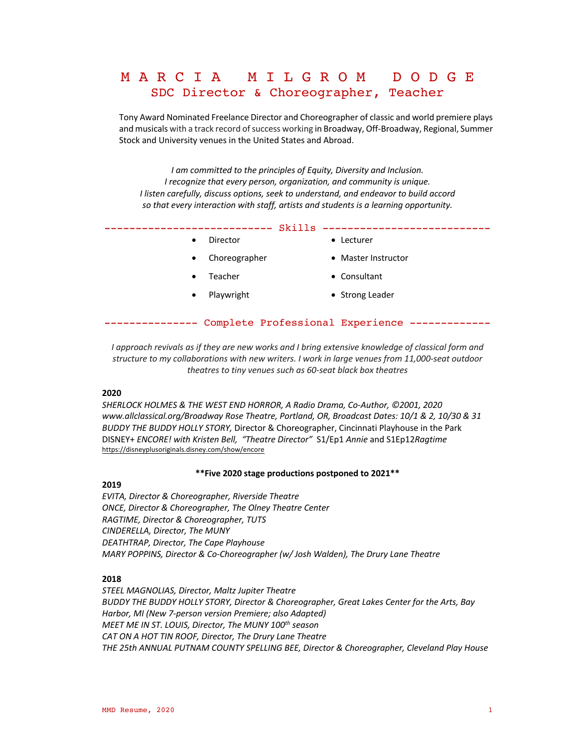# M A R C I A M I L G R O M D O D G E SDC Director & Choreographer, Teacher

Tony Award Nominated Freelance Director and Choreographer of classic and world premiere plays and musicals with a track record of success working in Broadway, Off-Broadway, Regional, Summer Stock and University venues in the United States and Abroad.

*I am committed to the principles of Equity, Diversity and Inclusion. I recognize that every person, organization, and community is unique. I listen carefully, discuss options, seek to understand, and endeavor to build accord so that every interaction with staff, artists and students is a learning opportunity.*

| ----------------------------- | -------------------------- |
|-------------------------------|----------------------------|
|                               |                            |

- 
- Choreographer Master Instructor
	-
- Feacher  **Consultant**
- Playwright Strong Leader
- --------------- Complete Professional Experience -------------

*I approach revivals as if they are new works and I bring extensive knowledge of classical form and structure to my collaborations with new writers. I work in large venues from 11,000-seat outdoor theatres to tiny venues such as 60-seat black box theatres* 

## **2020**

*SHERLOCK HOLMES & THE WEST END HORROR, A Radio Drama, Co-Author, ©2001, 2020 www.allclassical.org/Broadway Rose Theatre, Portland, OR, Broadcast Dates: 10/1 & 2, 10/30 & 31 BUDDY THE BUDDY HOLLY STORY,* Director & Choreographer, Cincinnati Playhouse in the Park DISNEY+ *ENCORE! with Kristen Bell, "Theatre Director"* S1/Ep1 *Annie* and S1Ep12*Ragtime* https://disneyplusoriginals.disney.com/show/encore

#### **\*\*Five 2020 stage productions postponed to 2021\*\***

# **2019**

*EVITA, Director & Choreographer, Riverside Theatre ONCE, Director & Choreographer, The Olney Theatre Center RAGTIME, Director & Choreographer, TUTS CINDERELLA, Director, The MUNY DEATHTRAP, Director, The Cape Playhouse MARY POPPINS, Director & Co-Choreographer (w/ Josh Walden), The Drury Lane Theatre*

## **2018**

*STEEL MAGNOLIAS, Director, Maltz Jupiter Theatre BUDDY THE BUDDY HOLLY STORY, Director & Choreographer, Great Lakes Center for the Arts, Bay Harbor, MI (New 7-person version Premiere; also Adapted) MEET ME IN ST. LOUIS, Director, The MUNY 100th season CAT ON A HOT TIN ROOF, Director, The Drury Lane Theatre THE 25th ANNUAL PUTNAM COUNTY SPELLING BEE, Director & Choreographer, Cleveland Play House*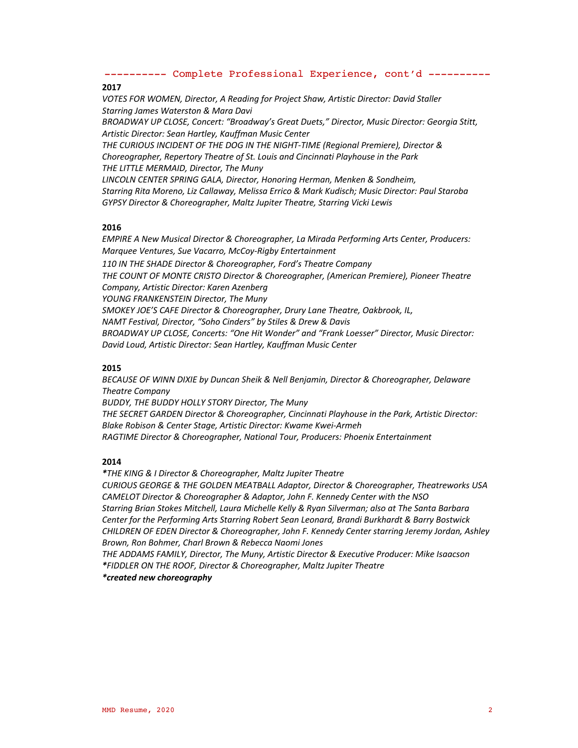# **2017**

*VOTES FOR WOMEN, Director, A Reading for Project Shaw, Artistic Director: David Staller Starring James Waterston & Mara Davi BROADWAY UP CLOSE, Concert: "Broadway's Great Duets," Director, Music Director: Georgia Stitt, Artistic Director: Sean Hartley, Kauffman Music Center THE CURIOUS INCIDENT OF THE DOG IN THE NIGHT-TIME (Regional Premiere), Director & Choreographer, Repertory Theatre of St. Louis and Cincinnati Playhouse in the Park THE LITTLE MERMAID, Director, The Muny LINCOLN CENTER SPRING GALA, Director, Honoring Herman, Menken & Sondheim, Starring Rita Moreno, Liz Callaway, Melissa Errico & Mark Kudisch; Music Director: Paul Staroba GYPSY Director & Choreographer, Maltz Jupiter Theatre, Starring Vicki Lewis*

# **2016**

*EMPIRE A New Musical Director & Choreographer, La Mirada Performing Arts Center, Producers: Marquee Ventures, Sue Vacarro, McCoy-Rigby Entertainment*

*110 IN THE SHADE Director & Choreographer, Ford's Theatre Company THE COUNT OF MONTE CRISTO Director & Choreographer, (American Premiere), Pioneer Theatre Company, Artistic Director: Karen Azenberg*

*YOUNG FRANKENSTEIN Director, The Muny*

*SMOKEY JOE'S CAFE Director & Choreographer, Drury Lane Theatre, Oakbrook, IL,* 

*NAMT Festival, Director, "Soho Cinders" by Stiles & Drew & Davis*

*BROADWAY UP CLOSE, Concerts: "One Hit Wonder" and "Frank Loesser" Director, Music Director: David Loud, Artistic Director: Sean Hartley, Kauffman Music Center*

# **2015**

*BECAUSE OF WINN DIXIE by Duncan Sheik & Nell Benjamin, Director & Choreographer, Delaware Theatre Company*

*BUDDY, THE BUDDY HOLLY STORY Director, The Muny*

*THE SECRET GARDEN Director & Choreographer, Cincinnati Playhouse in the Park, Artistic Director: Blake Robison & Center Stage, Artistic Director: Kwame Kwei-Armeh RAGTIME Director & Choreographer, National Tour, Producers: Phoenix Entertainment*

# **2014**

*\*THE KING & I Director & Choreographer, Maltz Jupiter Theatre CURIOUS GEORGE & THE GOLDEN MEATBALL Adaptor, Director & Choreographer, Theatreworks USA CAMELOT Director & Choreographer & Adaptor, John F. Kennedy Center with the NSO Starring Brian Stokes Mitchell, Laura Michelle Kelly & Ryan Silverman; also at The Santa Barbara Center for the Performing Arts Starring Robert Sean Leonard, Brandi Burkhardt & Barry Bostwick CHILDREN OF EDEN Director & Choreographer, John F. Kennedy Center starring Jeremy Jordan, Ashley Brown, Ron Bohmer, Charl Brown & Rebecca Naomi Jones* 

*THE ADDAMS FAMILY, Director, The Muny, Artistic Director & Executive Producer: Mike Isaacson \*FIDDLER ON THE ROOF, Director & Choreographer, Maltz Jupiter Theatre* 

*\*created new choreography*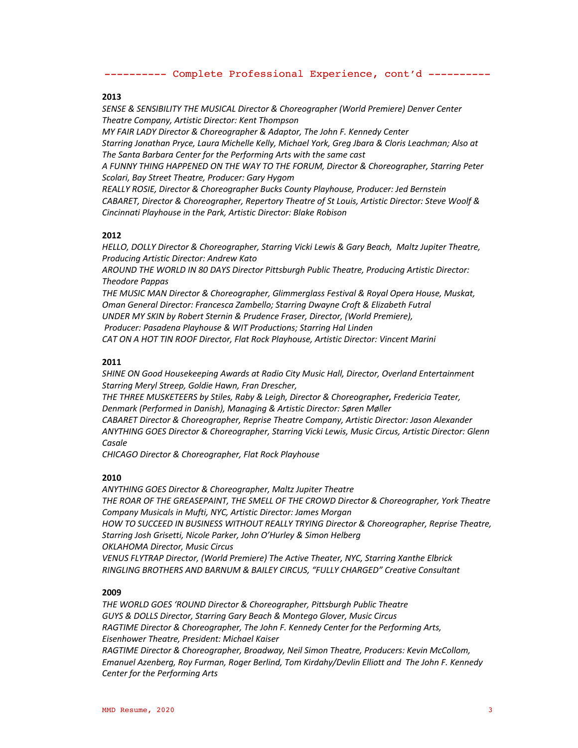#### **2013**

*SENSE & SENSIBILITY THE MUSICAL Director & Choreographer (World Premiere) Denver Center Theatre Company, Artistic Director: Kent Thompson*

*MY FAIR LADY Director & Choreographer & Adaptor, The John F. Kennedy Center Starring Jonathan Pryce, Laura Michelle Kelly, Michael York, Greg Jbara & Cloris Leachman; Also at The Santa Barbara Center for the Performing Arts with the same cast*

*A FUNNY THING HAPPENED ON THE WAY TO THE FORUM, Director & Choreographer, Starring Peter Scolari, Bay Street Theatre, Producer: Gary Hygom*

*REALLY ROSIE, Director & Choreographer Bucks County Playhouse, Producer: Jed Bernstein CABARET, Director & Choreographer, Repertory Theatre of St Louis, Artistic Director: Steve Woolf & Cincinnati Playhouse in the Park, Artistic Director: Blake Robison*

## **2012**

*HELLO, DOLLY Director & Choreographer, Starring Vicki Lewis & Gary Beach, Maltz Jupiter Theatre, Producing Artistic Director: Andrew Kato* 

*AROUND THE WORLD IN 80 DAYS Director Pittsburgh Public Theatre, Producing Artistic Director: Theodore Pappas*

*THE MUSIC MAN Director & Choreographer, Glimmerglass Festival & Royal Opera House, Muskat, Oman General Director: Francesca Zambello; Starring Dwayne Croft & Elizabeth Futral UNDER MY SKIN by Robert Sternin & Prudence Fraser, Director, (World Premiere), Producer: Pasadena Playhouse & WIT Productions; Starring Hal Linden CAT ON A HOT TIN ROOF Director, Flat Rock Playhouse, Artistic Director: Vincent Marini*

#### **2011**

*SHINE ON Good Housekeeping Awards at Radio City Music Hall, Director, Overland Entertainment Starring Meryl Streep, Goldie Hawn, Fran Drescher,*

*THE THREE MUSKETEERS by Stiles, Raby & Leigh, Director & Choreographer, Fredericia Teater, Denmark (Performed in Danish), Managing & Artistic Director: Søren Møller*

*CABARET Director & Choreographer, Reprise Theatre Company, Artistic Director: Jason Alexander ANYTHING GOES Director & Choreographer, Starring Vicki Lewis, Music Circus, Artistic Director: Glenn Casale*

*CHICAGO Director & Choreographer, Flat Rock Playhouse* 

#### **2010**

*ANYTHING GOES Director & Choreographer, Maltz Jupiter Theatre THE ROAR OF THE GREASEPAINT, THE SMELL OF THE CROWD Director & Choreographer, York Theatre Company Musicals in Mufti, NYC, Artistic Director: James Morgan HOW TO SUCCEED IN BUSINESS WITHOUT REALLY TRYING Director & Choreographer, Reprise Theatre, Starring Josh Grisetti, Nicole Parker, John O'Hurley & Simon Helberg OKLAHOMA Director, Music Circus VENUS FLYTRAP Director, (World Premiere) The Active Theater, NYC, Starring Xanthe Elbrick RINGLING BROTHERS AND BARNUM & BAILEY CIRCUS, "FULLY CHARGED" Creative Consultant* 

#### **2009**

*THE WORLD GOES 'ROUND Director & Choreographer, Pittsburgh Public Theatre GUYS & DOLLS Director, Starring Gary Beach & Montego Glover, Music Circus RAGTIME Director & Choreographer, The John F. Kennedy Center for the Performing Arts, Eisenhower Theatre, President: Michael Kaiser RAGTIME Director & Choreographer, Broadway, Neil Simon Theatre, Producers: Kevin McCollom, Emanuel Azenberg, Roy Furman, Roger Berlind, Tom Kirdahy/Devlin Elliott and The John F. Kennedy Center for the Performing Arts*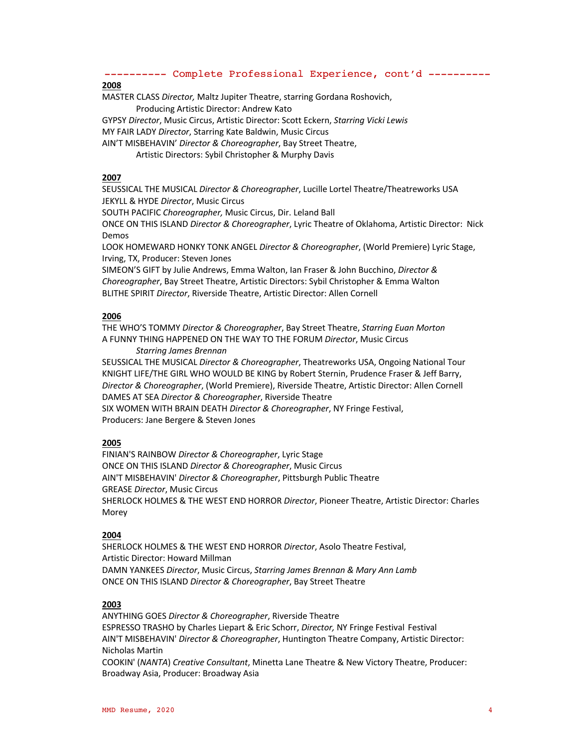# **2008**

MASTER CLASS *Director,* Maltz Jupiter Theatre, starring Gordana Roshovich, Producing Artistic Director: Andrew Kato

GYPSY *Director*, Music Circus, Artistic Director: Scott Eckern, *Starring Vicki Lewis*

MY FAIR LADY *Director*, Starring Kate Baldwin, Music Circus

AIN'T MISBEHAVIN' *Director & Choreographer*, Bay Street Theatre,

Artistic Directors: Sybil Christopher & Murphy Davis

# **2007**

SEUSSICAL THE MUSICAL *Director & Choreographer*, Lucille Lortel Theatre/Theatreworks USA JEKYLL & HYDE *Director*, Music Circus

SOUTH PACIFIC *Choreographer,* Music Circus, Dir. Leland Ball

ONCE ON THIS ISLAND *Director & Choreographer*, Lyric Theatre of Oklahoma, Artistic Director: Nick Demos

LOOK HOMEWARD HONKY TONK ANGEL *Director & Choreographer*, (World Premiere) Lyric Stage, Irving, TX, Producer: Steven Jones

SIMEON'S GIFT by Julie Andrews, Emma Walton, Ian Fraser & John Bucchino, *Director & Choreographer*, Bay Street Theatre, Artistic Directors: Sybil Christopher & Emma Walton BLITHE SPIRIT *Director*, Riverside Theatre, Artistic Director: Allen Cornell

## **2006**

THE WHO'S TOMMY *Director & Choreographer*, Bay Street Theatre, *Starring Euan Morton* A FUNNY THING HAPPENED ON THE WAY TO THE FORUM *Director*, Music Circus

#### *Starring James Brennan*

SEUSSICAL THE MUSICAL *Director & Choreographer*, Theatreworks USA, Ongoing National Tour KNIGHT LIFE/THE GIRL WHO WOULD BE KING by Robert Sternin, Prudence Fraser & Jeff Barry, *Director & Choreographer*, (World Premiere), Riverside Theatre, Artistic Director: Allen Cornell DAMES AT SEA *Director & Choreographer*, Riverside Theatre SIX WOMEN WITH BRAIN DEATH *Director & Choreographer*, NY Fringe Festival, Producers: Jane Bergere & Steven Jones

# **2005**

FINIAN'S RAINBOW *Director & Choreographer*, Lyric Stage ONCE ON THIS ISLAND *Director & Choreographer*, Music Circus AIN'T MISBEHAVIN' *Director & Choreographer*, Pittsburgh Public Theatre GREASE *Director*, Music Circus SHERLOCK HOLMES & THE WEST END HORROR *Director*, Pioneer Theatre, Artistic Director: Charles Morey

# **2004**

SHERLOCK HOLMES & THE WEST END HORROR *Director*, Asolo Theatre Festival, Artistic Director: Howard Millman DAMN YANKEES *Director*, Music Circus, *Starring James Brennan & Mary Ann Lamb* ONCE ON THIS ISLAND *Director & Choreographer*, Bay Street Theatre

# **2003**

ANYTHING GOES *Director & Choreographer*, Riverside Theatre ESPRESSO TRASHO by Charles Liepart & Eric Schorr, *Director,* NY Fringe Festival Festival AIN'T MISBEHAVIN' *Director & Choreographer*, Huntington Theatre Company, Artistic Director: Nicholas Martin

COOKIN' (*NANTA*) *Creative Consultant*, Minetta Lane Theatre & New Victory Theatre, Producer: Broadway Asia, Producer: Broadway Asia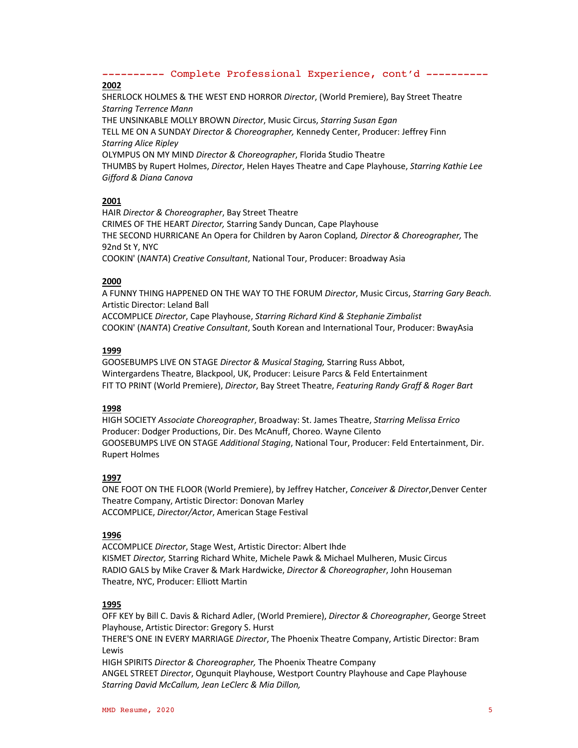# **2002**

SHERLOCK HOLMES & THE WEST END HORROR *Director*, (World Premiere), Bay Street Theatre *Starring Terrence Mann* THE UNSINKABLE MOLLY BROWN *Director*, Music Circus, *Starring Susan Egan*

TELL ME ON A SUNDAY *Director & Choreographer,* Kennedy Center, Producer: Jeffrey Finn *Starring Alice Ripley*

OLYMPUS ON MY MIND *Director & Choreographer*, Florida Studio Theatre

THUMBS by Rupert Holmes, *Director*, Helen Hayes Theatre and Cape Playhouse, *Starring Kathie Lee Gifford & Diana Canova*

# **2001**

HAIR *Director & Choreographer*, Bay Street Theatre CRIMES OF THE HEART *Director,* Starring Sandy Duncan, Cape Playhouse THE SECOND HURRICANE An Opera for Children by Aaron Copland*, Director & Choreographer,* The 92nd St Y, NYC COOKIN' (*NANTA*) *Creative Consultant*, National Tour, Producer: Broadway Asia

# **2000**

A FUNNY THING HAPPENED ON THE WAY TO THE FORUM *Director*, Music Circus, *Starring Gary Beach.*  Artistic Director: Leland Ball ACCOMPLICE *Director*, Cape Playhouse, *Starring Richard Kind & Stephanie Zimbalist* COOKIN' (*NANTA*) *Creative Consultant*, South Korean and International Tour, Producer: BwayAsia

# **1999**

GOOSEBUMPS LIVE ON STAGE *Director & Musical Staging,* Starring Russ Abbot, Wintergardens Theatre, Blackpool, UK, Producer: Leisure Parcs & Feld Entertainment FIT TO PRINT (World Premiere), *Director*, Bay Street Theatre, *Featuring Randy Graff & Roger Bart*

## **1998**

HIGH SOCIETY *Associate Choreographer*, Broadway: St. James Theatre, *Starring Melissa Errico* Producer: Dodger Productions, Dir. Des McAnuff, Choreo. Wayne Cilento GOOSEBUMPS LIVE ON STAGE *Additional Staging*, National Tour, Producer: Feld Entertainment, Dir. Rupert Holmes

## **1997**

ONE FOOT ON THE FLOOR (World Premiere), by Jeffrey Hatcher, *Conceiver & Director*,Denver Center Theatre Company, Artistic Director: Donovan Marley ACCOMPLICE, *Director/Actor*, American Stage Festival

# **1996**

ACCOMPLICE *Director*, Stage West, Artistic Director: Albert Ihde KISMET *Director,* Starring Richard White, Michele Pawk & Michael Mulheren, Music Circus RADIO GALS by Mike Craver & Mark Hardwicke, *Director & Choreographer*, John Houseman Theatre, NYC, Producer: Elliott Martin

# **1995**

OFF KEY by Bill C. Davis & Richard Adler, (World Premiere), *Director & Choreographer*, George Street Playhouse, Artistic Director: Gregory S. Hurst

THERE'S ONE IN EVERY MARRIAGE *Director*, The Phoenix Theatre Company, Artistic Director: Bram **Lewis** 

HIGH SPIRITS *Director & Choreographer,* The Phoenix Theatre Company ANGEL STREET *Director*, Ogunquit Playhouse, Westport Country Playhouse and Cape Playhouse *Starring David McCallum, Jean LeClerc & Mia Dillon,*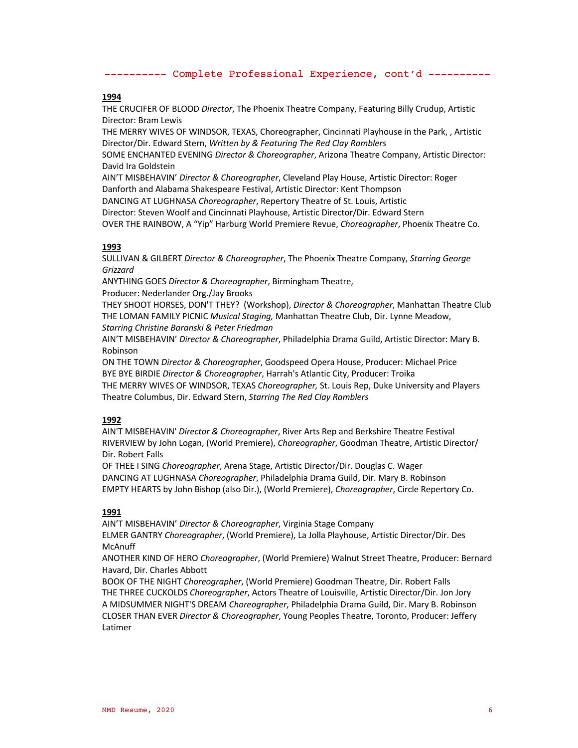## **1994**

THE CRUCIFER OF BLOOD *Director*, The Phoenix Theatre Company, Featuring Billy Crudup, Artistic Director: Bram Lewis

THE MERRY WIVES OF WINDSOR, TEXAS, Choreographer, Cincinnati Playhouse in the Park, , Artistic Director/Dir. Edward Stern, *Written by & Featuring The Red Clay Ramblers*

SOME ENCHANTED EVENING *Director & Choreographer*, Arizona Theatre Company, Artistic Director: David Ira Goldstein

AIN'T MISBEHAVIN' *Director & Choreographer*, Cleveland Play House, Artistic Director: Roger Danforth and Alabama Shakespeare Festival, Artistic Director: Kent Thompson

DANCING AT LUGHNASA *Choreographer*, Repertory Theatre of St. Louis, Artistic

Director: Steven Woolf and Cincinnati Playhouse, Artistic Director/Dir. Edward Stern

OVER THE RAINBOW, A "Yip" Harburg World Premiere Revue, *Choreographer*, Phoenix Theatre Co.

## **1993**

SULLIVAN & GILBERT *Director & Choreographer*, The Phoenix Theatre Company, *Starring George Grizzard*

ANYTHING GOES *Director & Choreographer*, Birmingham Theatre,

Producer: Nederlander Org./Jay Brooks

THEY SHOOT HORSES, DON'T THEY? (Workshop), *Director & Choreographer*, Manhattan Theatre Club THE LOMAN FAMILY PICNIC *Musical Staging,* Manhattan Theatre Club, Dir. Lynne Meadow, *Starring Christine Baranski & Peter Friedman*

AIN'T MISBEHAVIN' *Director & Choreographer*, Philadelphia Drama Guild, Artistic Director: Mary B. Robinson

ON THE TOWN *Director & Choreographer*, Goodspeed Opera House, Producer: Michael Price BYE BYE BIRDIE *Director & Choreographer*, Harrah's Atlantic City, Producer: Troika

THE MERRY WIVES OF WINDSOR, TEXAS *Choreographer,* St. Louis Rep, Duke University and Players Theatre Columbus, Dir. Edward Stern, *Starring The Red Clay Ramblers*

# **1992**

AIN'T MISBEHAVIN' *Director & Choreographer*, River Arts Rep and Berkshire Theatre Festival RIVERVIEW by John Logan, (World Premiere), *Choreographer*, Goodman Theatre, Artistic Director/ Dir. Robert Falls

OF THEE I SING *Choreographer*, Arena Stage, Artistic Director/Dir. Douglas C. Wager DANCING AT LUGHNASA *Choreographer*, Philadelphia Drama Guild, Dir. Mary B. Robinson EMPTY HEARTS by John Bishop (also Dir.), (World Premiere), *Choreographer*, Circle Repertory Co.

## **1991**

AIN'T MISBEHAVIN' *Director & Choreographer*, Virginia Stage Company ELMER GANTRY *Choreographer*, (World Premiere), La Jolla Playhouse, Artistic Director/Dir. Des McAnuff

ANOTHER KIND OF HERO *Choreographer*, (World Premiere) Walnut Street Theatre, Producer: Bernard Havard, Dir. Charles Abbott

BOOK OF THE NIGHT *Choreographer*, (World Premiere) Goodman Theatre, Dir. Robert Falls THE THREE CUCKOLDS *Choreographer*, Actors Theatre of Louisville, Artistic Director/Dir. Jon Jory A MIDSUMMER NIGHT'S DREAM *Choreographer*, Philadelphia Drama Guild, Dir. Mary B. Robinson CLOSER THAN EVER *Director & Choreographer*, Young Peoples Theatre, Toronto, Producer: Jeffery Latimer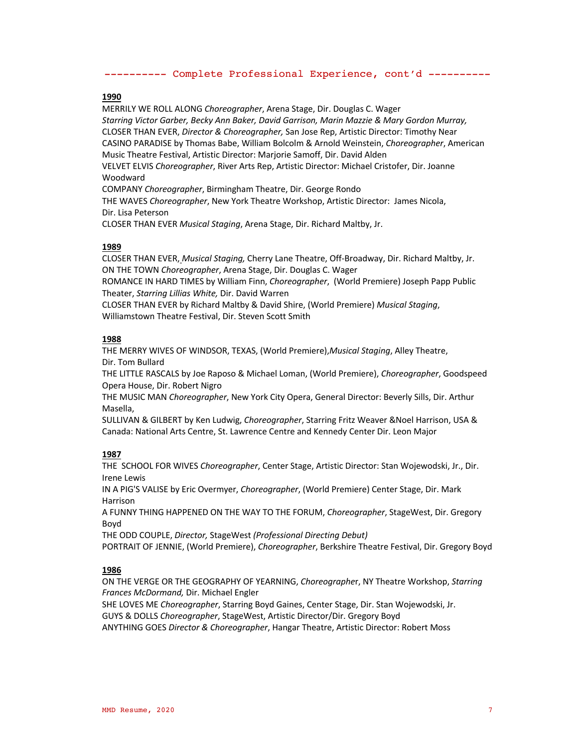#### **1990**

MERRILY WE ROLL ALONG *Choreographer*, Arena Stage, Dir. Douglas C. Wager *Starring Victor Garber, Becky Ann Baker, David Garrison, Marin Mazzie & Mary Gordon Murray,* CLOSER THAN EVER, *Director & Choreographer,* San Jose Rep, Artistic Director: Timothy Near CASINO PARADISE by Thomas Babe, William Bolcolm & Arnold Weinstein, *Choreographer*, American Music Theatre Festival, Artistic Director: Marjorie Samoff, Dir. David Alden VELVET ELVIS *Choreographer*, River Arts Rep, Artistic Director: Michael Cristofer, Dir. Joanne Woodward COMPANY *Choreographer*, Birmingham Theatre, Dir. George Rondo THE WAVES *Choreographer*, New York Theatre Workshop, Artistic Director: James Nicola, Dir. Lisa Peterson

CLOSER THAN EVER *Musical Staging*, Arena Stage, Dir. Richard Maltby, Jr.

#### **1989**

CLOSER THAN EVER, *Musical Staging,* Cherry Lane Theatre, Off-Broadway, Dir. Richard Maltby, Jr. ON THE TOWN *Choreographer*, Arena Stage, Dir. Douglas C. Wager

ROMANCE IN HARD TIMES by William Finn, *Choreographer*, (World Premiere) Joseph Papp Public Theater, *Starring Lillias White,* Dir. David Warren

CLOSER THAN EVER by Richard Maltby & David Shire, (World Premiere) *Musical Staging*, Williamstown Theatre Festival, Dir. Steven Scott Smith

#### **1988**

THE MERRY WIVES OF WINDSOR, TEXAS, (World Premiere),*Musical Staging*, Alley Theatre, Dir. Tom Bullard

THE LITTLE RASCALS by Joe Raposo & Michael Loman, (World Premiere), *Choreographer*, Goodspeed Opera House, Dir. Robert Nigro

THE MUSIC MAN *Choreographer*, New York City Opera, General Director: Beverly Sills, Dir. Arthur Masella,

SULLIVAN & GILBERT by Ken Ludwig, *Choreographer*, Starring Fritz Weaver &Noel Harrison, USA & Canada: National Arts Centre, St. Lawrence Centre and Kennedy Center Dir. Leon Major

## **1987**

THE SCHOOL FOR WIVES *Choreographer*, Center Stage, Artistic Director: Stan Wojewodski, Jr., Dir. Irene Lewis

IN A PIG'S VALISE by Eric Overmyer, *Choreographer*, (World Premiere) Center Stage, Dir. Mark Harrison

A FUNNY THING HAPPENED ON THE WAY TO THE FORUM, *Choreographer*, StageWest, Dir. Gregory Boyd

THE ODD COUPLE, *Director,* StageWest *(Professional Directing Debut)* PORTRAIT OF JENNIE, (World Premiere), *Choreographer*, Berkshire Theatre Festival, Dir. Gregory Boyd

## **1986**

ON THE VERGE OR THE GEOGRAPHY OF YEARNING, *Choreographe*r, NY Theatre Workshop, *Starring Frances McDormand,* Dir. Michael Engler

SHE LOVES ME *Choreographer*, Starring Boyd Gaines, Center Stage, Dir. Stan Wojewodski, Jr. GUYS & DOLLS *Choreographer*, StageWest, Artistic Director/Dir. Gregory Boyd ANYTHING GOES *Director & Choreographer*, Hangar Theatre, Artistic Director: Robert Moss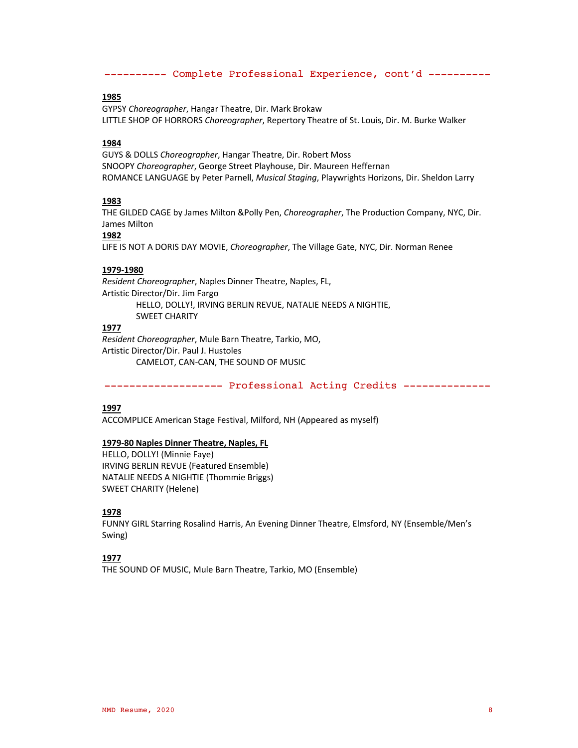#### **1985**

GYPSY *Choreographer*, Hangar Theatre, Dir. Mark Brokaw LITTLE SHOP OF HORRORS *Choreographer*, Repertory Theatre of St. Louis, Dir. M. Burke Walker

#### **1984**

GUYS & DOLLS *Choreographer*, Hangar Theatre, Dir. Robert Moss SNOOPY *Choreographer*, George Street Playhouse, Dir. Maureen Heffernan ROMANCE LANGUAGE by Peter Parnell, *Musical Staging*, Playwrights Horizons, Dir. Sheldon Larry

#### **1983**

THE GILDED CAGE by James Milton &Polly Pen, *Choreographer*, The Production Company, NYC, Dir. James Milton

#### **1982**

LIFE IS NOT A DORIS DAY MOVIE, *Choreographer*, The Village Gate, NYC, Dir. Norman Renee

# **1979-1980**

*Resident Choreographer*, Naples Dinner Theatre, Naples, FL, Artistic Director/Dir. Jim Fargo HELLO, DOLLY!, IRVING BERLIN REVUE, NATALIE NEEDS A NIGHTIE, SWEET CHARITY

# **1977**

*Resident Choreographer*, Mule Barn Theatre, Tarkio, MO, Artistic Director/Dir. Paul J. Hustoles CAMELOT, CAN-CAN, THE SOUND OF MUSIC

------------------- Professional Acting Credits --------------

#### **1997**

ACCOMPLICE American Stage Festival, Milford, NH (Appeared as myself)

#### **1979-80 Naples Dinner Theatre, Naples, FL**

HELLO, DOLLY! (Minnie Faye) IRVING BERLIN REVUE (Featured Ensemble) NATALIE NEEDS A NIGHTIE (Thommie Briggs) SWEET CHARITY (Helene)

#### **1978**

FUNNY GIRL Starring Rosalind Harris, An Evening Dinner Theatre, Elmsford, NY (Ensemble/Men's Swing)

#### **1977**

THE SOUND OF MUSIC, Mule Barn Theatre, Tarkio, MO (Ensemble)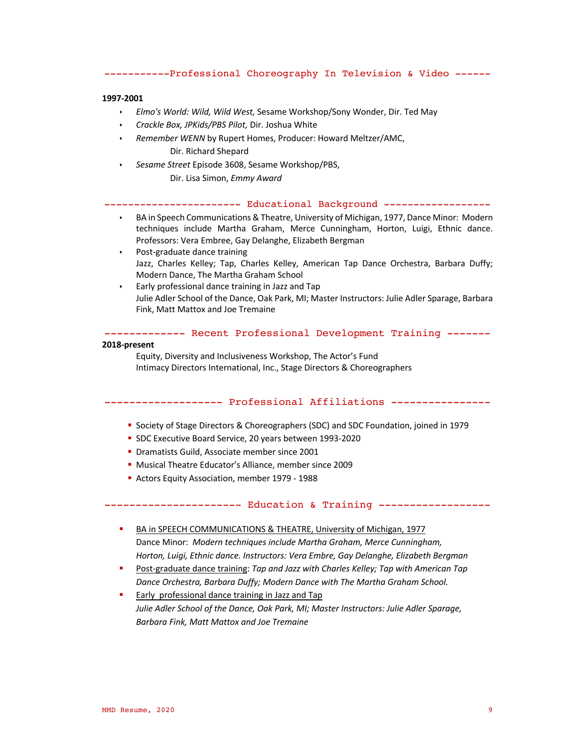# -----------Professional Choreography In Television & Video ------

#### **1997-2001**

- s *Elmo's World: Wild, Wild West,* Sesame Workshop/Sony Wonder, Dir. Ted May
- s *Crackle Box, JPKids/PBS Pilot,* Dir. Joshua White
- s *Remember WENN* by Rupert Homes, Producer: Howard Meltzer/AMC, Dir. Richard Shepard
- s *Sesame Street* Episode 3608, Sesame Workshop/PBS,

Dir. Lisa Simon, *Emmy Award*

---------------------- Educational Background ------------------

- s BA in Speech Communications & Theatre, University of Michigan, 1977, Dance Minor: Modern techniques include Martha Graham, Merce Cunningham, Horton, Luigi, Ethnic dance. Professors: Vera Embree, Gay Delanghe, Elizabeth Bergman
- $\cdot$  Post-graduate dance training Jazz, Charles Kelley; Tap, Charles Kelley, American Tap Dance Orchestra, Barbara Duffy; Modern Dance, The Martha Graham School
- $\cdot$  Early professional dance training in Jazz and Tap Julie Adler School of the Dance, Oak Park, MI; Master Instructors: Julie Adler Sparage, Barbara Fink, Matt Mattox and Joe Tremaine

------------- Recent Professional Development Training -------

#### **2018-present**

Equity, Diversity and Inclusiveness Workshop, The Actor's Fund Intimacy Directors International, Inc., Stage Directors & Choreographers

## ------------------- Professional Affiliations ----------------

- § Society of Stage Directors & Choreographers (SDC) and SDC Foundation, joined in 1979
- § SDC Executive Board Service, 20 years between 1993-2020
- Dramatists Guild, Associate member since 2001
- § Musical Theatre Educator's Alliance, member since 2009
- Actors Equity Association, member 1979 1988

#### ---------------------- Education & Training ------------------

- BA in SPEECH COMMUNICATIONS & THEATRE, University of Michigan, 1977 Dance Minor: *Modern techniques include Martha Graham, Merce Cunningham, Horton, Luigi, Ethnic dance. Instructors: Vera Embre, Gay Delanghe, Elizabeth Bergman*
- § Post-graduate dance training: *Tap and Jazz with Charles Kelley; Tap with American Tap Dance Orchestra, Barbara Duffy; Modern Dance with The Martha Graham School.*
- Early professional dance training in Jazz and Tap *Julie Adler School of the Dance, Oak Park, MI; Master Instructors: Julie Adler Sparage, Barbara Fink, Matt Mattox and Joe Tremaine*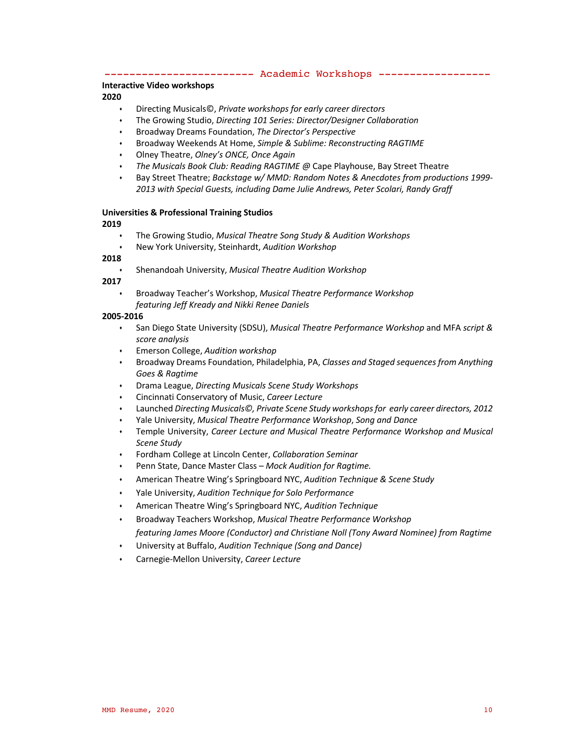------------------------ Academic Workshops ------------------

#### **Interactive Video workshops**

#### **2020**

- s Directing Musicals©, *Private workshops for early career directors*
- s The Growing Studio, *Directing 101 Series: Director/Designer Collaboration*
- s Broadway Dreams Foundation, *The Director's Perspective*
- s Broadway Weekends At Home, *Simple & Sublime: Reconstructing RAGTIME*
- s Olney Theatre, *Olney's ONCE, Once Again*
- The Musicals Book Club: Reading RAGTIME @ Cape Playhouse, Bay Street Theatre
- s Bay Street Theatre; *Backstage w/ MMD: Random Notes & Anecdotes from productions 1999- 2013 with Special Guests, including Dame Julie Andrews, Peter Scolari, Randy Graff*

# **Universities & Professional Training Studios**

#### **2019**

- s The Growing Studio, *Musical Theatre Song Study & Audition Workshops*
- s New York University, Steinhardt, *Audition Workshop*

# **2018**

s Shenandoah University, *Musical Theatre Audition Workshop*

**2017**

s Broadway Teacher's Workshop, *Musical Theatre Performance Workshop featuring Jeff Kready and Nikki Renee Daniels*

## **2005-2016**

- s San Diego State University (SDSU), *Musical Theatre Performance Workshop* and MFA *script & score analysis*
- s Emerson College, *Audition workshop*
- s Broadway Dreams Foundation, Philadelphia, PA, *Classes and Staged sequences from Anything Goes & Ragtime*
- s Drama League, *Directing Musicals Scene Study Workshops*
- s Cincinnati Conservatory of Music, *Career Lecture*
- s Launched *Directing Musicals©, Private Scene Study workshops for early career directors, 2012*
- s Yale University, *Musical Theatre Performance Workshop*, *Song and Dance*
- s Temple University, *Career Lecture and Musical Theatre Performance Workshop and Musical Scene Study*
- s Fordham College at Lincoln Center, *Collaboration Seminar*
- s Penn State, Dance Master Class *Mock Audition for Ragtime.*
- s American Theatre Wing's Springboard NYC, *Audition Technique & Scene Study*
- s Yale University, *Audition Technique for Solo Performance*
- s American Theatre Wing's Springboard NYC, *Audition Technique*
- s Broadway Teachers Workshop, *Musical Theatre Performance Workshop featuring James Moore (Conductor) and Christiane Noll (Tony Award Nominee) from Ragtime*
- s University at Buffalo, *Audition Technique (Song and Dance)*
- s Carnegie-Mellon University, *Career Lecture*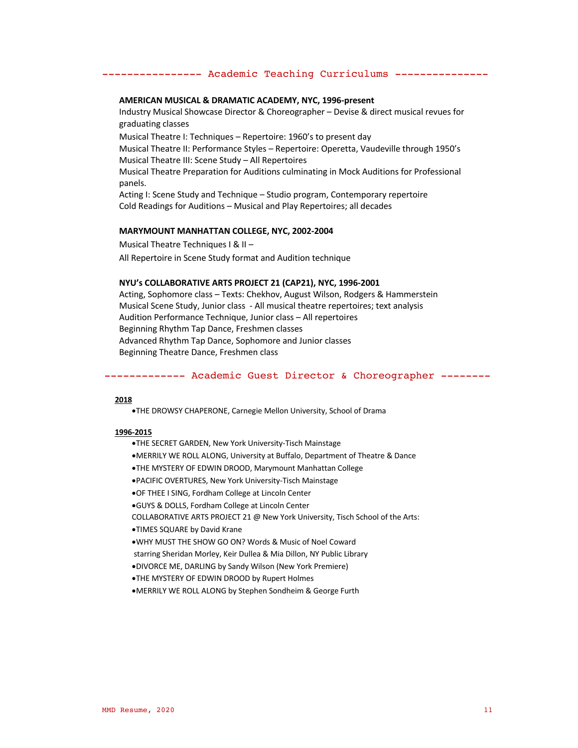#### ---------------- Academic Teaching Curriculums ---------------

#### **AMERICAN MUSICAL & DRAMATIC ACADEMY, NYC, 1996-present**

Industry Musical Showcase Director & Choreographer – Devise & direct musical revues for graduating classes

Musical Theatre I: Techniques – Repertoire: 1960's to present day Musical Theatre II: Performance Styles – Repertoire: Operetta, Vaudeville through 1950's Musical Theatre III: Scene Study – All Repertoires

Musical Theatre Preparation for Auditions culminating in Mock Auditions for Professional panels.

Acting I: Scene Study and Technique – Studio program, Contemporary repertoire Cold Readings for Auditions – Musical and Play Repertoires; all decades

#### **MARYMOUNT MANHATTAN COLLEGE, NYC, 2002-2004**

Musical Theatre Techniques I & II – All Repertoire in Scene Study format and Audition technique

#### **NYU's COLLABORATIVE ARTS PROJECT 21 (CAP21), NYC, 1996-2001**

Acting, Sophomore class – Texts: Chekhov, August Wilson, Rodgers & Hammerstein Musical Scene Study, Junior class - All musical theatre repertoires; text analysis Audition Performance Technique, Junior class – All repertoires Beginning Rhythm Tap Dance, Freshmen classes Advanced Rhythm Tap Dance, Sophomore and Junior classes Beginning Theatre Dance, Freshmen class

#### ------------- Academic Guest Director & Choreographer --------

#### **2018**

•THE DROWSY CHAPERONE, Carnegie Mellon University, School of Drama

#### **1996-2015**

- •THE SECRET GARDEN, New York University-Tisch Mainstage
- •MERRILY WE ROLL ALONG, University at Buffalo, Department of Theatre & Dance
- •THE MYSTERY OF EDWIN DROOD, Marymount Manhattan College
- •PACIFIC OVERTURES, New York University-Tisch Mainstage
- •OF THEE I SING, Fordham College at Lincoln Center
- •GUYS & DOLLS, Fordham College at Lincoln Center
- COLLABORATIVE ARTS PROJECT 21 @ New York University, Tisch School of the Arts:
- •TIMES SQUARE by David Krane
- •WHY MUST THE SHOW GO ON? Words & Music of Noel Coward
- starring Sheridan Morley, Keir Dullea & Mia Dillon, NY Public Library
- •DIVORCE ME, DARLING by Sandy Wilson (New York Premiere)
- •THE MYSTERY OF EDWIN DROOD by Rupert Holmes
- •MERRILY WE ROLL ALONG by Stephen Sondheim & George Furth